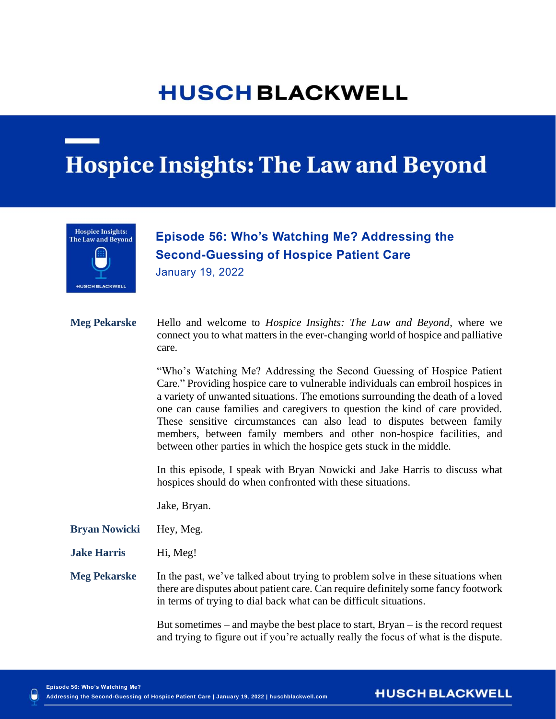## **HUSCH BLACKWELL**

## **Hospice Insights: The Law and Beyond**



## **Care Episode 56: Who's Watching Me? Addressing the Second-Guessing of Hospice Patient Care**

**Addressing the Second-Guessing of Hospice Patient** 

January 19, 2022

**Meg Pekarske** Hello and welcome to *Hospice Insights: The Law and Beyond*, where we connect you to what matters in the ever-changing world of hospice and palliative care.

> "Who's Watching Me? Addressing the Second Guessing of Hospice Patient Care." Providing hospice care to vulnerable individuals can embroil hospices in a variety of unwanted situations. The emotions surrounding the death of a loved one can cause families and caregivers to question the kind of care provided. These sensitive circumstances can also lead to disputes between family members, between family members and other non-hospice facilities, and between other parties in which the hospice gets stuck in the middle.

> In this episode, I speak with Bryan Nowicki and Jake Harris to discuss what hospices should do when confronted with these situations.

Jake, Bryan.

- **Bryan Nowicki** Hey, Meg.
- **Jake Harris** Hi, Meg!

**Meg Pekarske** In the past, we've talked about trying to problem solve in these situations when there are disputes about patient care. Can require definitely some fancy footwork in terms of trying to dial back what can be difficult situations.

> But sometimes – and maybe the best place to start, Bryan – is the record request and trying to figure out if you're actually really the focus of what is the dispute.

**HUSCH BLACKWELL**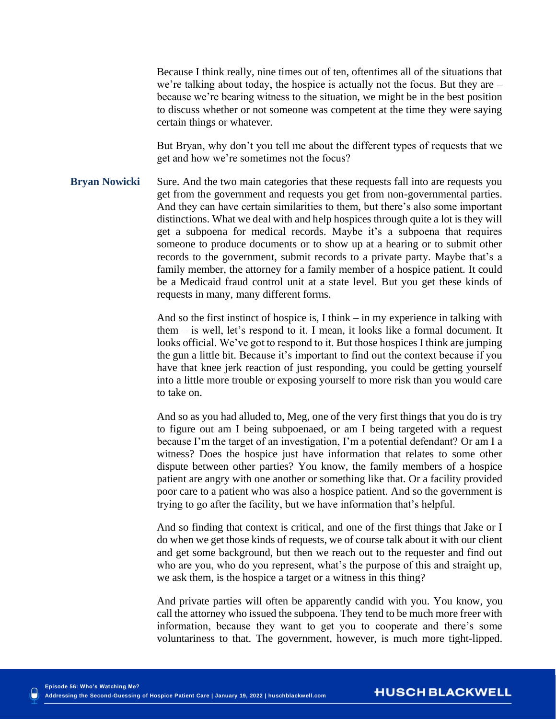Because I think really, nine times out of ten, oftentimes all of the situations that we're talking about today, the hospice is actually not the focus. But they are – because we're bearing witness to the situation, we might be in the best position to discuss whether or not someone was competent at the time they were saying certain things or whatever.

But Bryan, why don't you tell me about the different types of requests that we get and how we're sometimes not the focus?

**Bryan Nowicki** Sure. And the two main categories that these requests fall into are requests you get from the government and requests you get from non-governmental parties. And they can have certain similarities to them, but there's also some important distinctions. What we deal with and help hospices through quite a lot is they will get a subpoena for medical records. Maybe it's a subpoena that requires someone to produce documents or to show up at a hearing or to submit other records to the government, submit records to a private party. Maybe that's a family member, the attorney for a family member of a hospice patient. It could be a Medicaid fraud control unit at a state level. But you get these kinds of requests in many, many different forms.

> And so the first instinct of hospice is, I think – in my experience in talking with them – is well, let's respond to it. I mean, it looks like a formal document. It looks official. We've got to respond to it. But those hospices I think are jumping the gun a little bit. Because it's important to find out the context because if you have that knee jerk reaction of just responding, you could be getting yourself into a little more trouble or exposing yourself to more risk than you would care to take on.

> And so as you had alluded to, Meg, one of the very first things that you do is try to figure out am I being subpoenaed, or am I being targeted with a request because I'm the target of an investigation, I'm a potential defendant? Or am I a witness? Does the hospice just have information that relates to some other dispute between other parties? You know, the family members of a hospice patient are angry with one another or something like that. Or a facility provided poor care to a patient who was also a hospice patient. And so the government is trying to go after the facility, but we have information that's helpful.

> And so finding that context is critical, and one of the first things that Jake or I do when we get those kinds of requests, we of course talk about it with our client and get some background, but then we reach out to the requester and find out who are you, who do you represent, what's the purpose of this and straight up, we ask them, is the hospice a target or a witness in this thing?

> And private parties will often be apparently candid with you. You know, you call the attorney who issued the subpoena. They tend to be much more freer with information, because they want to get you to cooperate and there's some voluntariness to that. The government, however, is much more tight-lipped.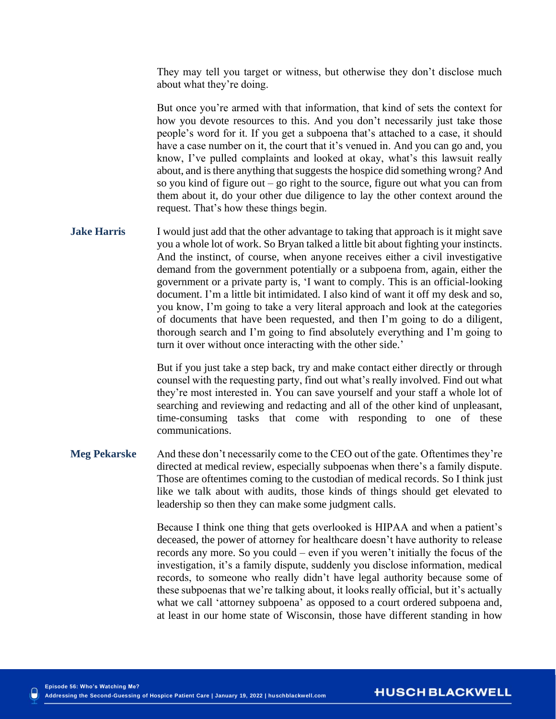They may tell you target or witness, but otherwise they don't disclose much about what they're doing.

But once you're armed with that information, that kind of sets the context for how you devote resources to this. And you don't necessarily just take those people's word for it. If you get a subpoena that's attached to a case, it should have a case number on it, the court that it's venued in. And you can go and, you know, I've pulled complaints and looked at okay, what's this lawsuit really about, and is there anything that suggests the hospice did something wrong? And so you kind of figure out – go right to the source, figure out what you can from them about it, do your other due diligence to lay the other context around the request. That's how these things begin.

**Jake Harris** I would just add that the other advantage to taking that approach is it might save you a whole lot of work. So Bryan talked a little bit about fighting your instincts. And the instinct, of course, when anyone receives either a civil investigative demand from the government potentially or a subpoena from, again, either the government or a private party is, 'I want to comply. This is an official-looking document. I'm a little bit intimidated. I also kind of want it off my desk and so, you know, I'm going to take a very literal approach and look at the categories of documents that have been requested, and then I'm going to do a diligent, thorough search and I'm going to find absolutely everything and I'm going to turn it over without once interacting with the other side.'

> But if you just take a step back, try and make contact either directly or through counsel with the requesting party, find out what's really involved. Find out what they're most interested in. You can save yourself and your staff a whole lot of searching and reviewing and redacting and all of the other kind of unpleasant, time-consuming tasks that come with responding to one of these communications.

**Meg Pekarske** And these don't necessarily come to the CEO out of the gate. Oftentimes they're directed at medical review, especially subpoenas when there's a family dispute. Those are oftentimes coming to the custodian of medical records. So I think just like we talk about with audits, those kinds of things should get elevated to leadership so then they can make some judgment calls.

> Because I think one thing that gets overlooked is HIPAA and when a patient's deceased, the power of attorney for healthcare doesn't have authority to release records any more. So you could – even if you weren't initially the focus of the investigation, it's a family dispute, suddenly you disclose information, medical records, to someone who really didn't have legal authority because some of these subpoenas that we're talking about, it looks really official, but it's actually what we call 'attorney subpoena' as opposed to a court ordered subpoena and, at least in our home state of Wisconsin, those have different standing in how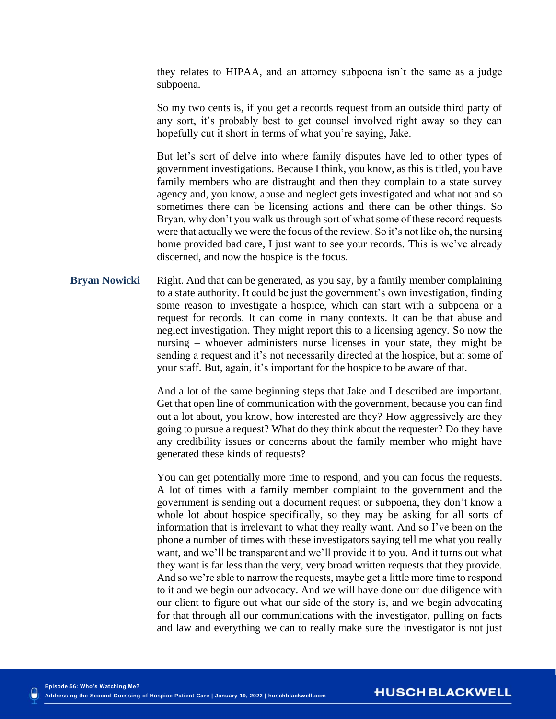they relates to HIPAA, and an attorney subpoena isn't the same as a judge subpoena.

So my two cents is, if you get a records request from an outside third party of any sort, it's probably best to get counsel involved right away so they can hopefully cut it short in terms of what you're saying, Jake.

But let's sort of delve into where family disputes have led to other types of government investigations. Because I think, you know, as this is titled, you have family members who are distraught and then they complain to a state survey agency and, you know, abuse and neglect gets investigated and what not and so sometimes there can be licensing actions and there can be other things. So Bryan, why don't you walk us through sort of what some of these record requests were that actually we were the focus of the review. So it's not like oh, the nursing home provided bad care, I just want to see your records. This is we've already discerned, and now the hospice is the focus.

**Bryan Nowicki** Right. And that can be generated, as you say, by a family member complaining to a state authority. It could be just the government's own investigation, finding some reason to investigate a hospice, which can start with a subpoena or a request for records. It can come in many contexts. It can be that abuse and neglect investigation. They might report this to a licensing agency. So now the nursing – whoever administers nurse licenses in your state, they might be sending a request and it's not necessarily directed at the hospice, but at some of your staff. But, again, it's important for the hospice to be aware of that.

> And a lot of the same beginning steps that Jake and I described are important. Get that open line of communication with the government, because you can find out a lot about, you know, how interested are they? How aggressively are they going to pursue a request? What do they think about the requester? Do they have any credibility issues or concerns about the family member who might have generated these kinds of requests?

> You can get potentially more time to respond, and you can focus the requests. A lot of times with a family member complaint to the government and the government is sending out a document request or subpoena, they don't know a whole lot about hospice specifically, so they may be asking for all sorts of information that is irrelevant to what they really want. And so I've been on the phone a number of times with these investigators saying tell me what you really want, and we'll be transparent and we'll provide it to you. And it turns out what they want is far less than the very, very broad written requests that they provide. And so we're able to narrow the requests, maybe get a little more time to respond to it and we begin our advocacy. And we will have done our due diligence with our client to figure out what our side of the story is, and we begin advocating for that through all our communications with the investigator, pulling on facts and law and everything we can to really make sure the investigator is not just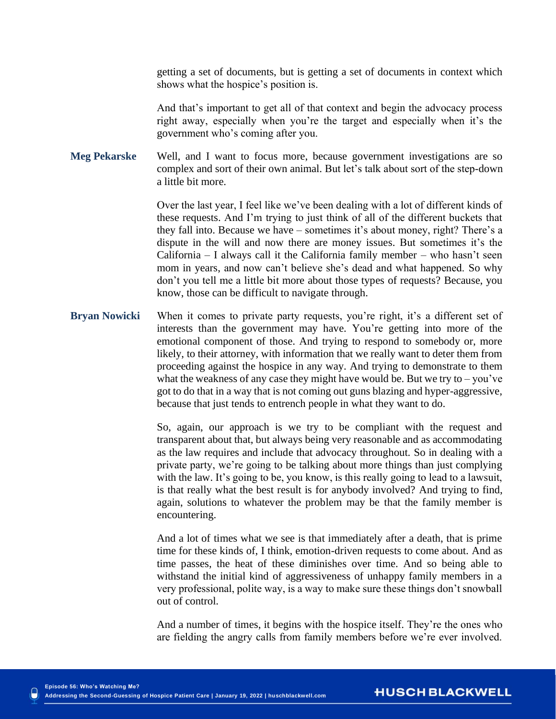getting a set of documents, but is getting a set of documents in context which shows what the hospice's position is.

And that's important to get all of that context and begin the advocacy process right away, especially when you're the target and especially when it's the government who's coming after you.

**Meg Pekarske** Well, and I want to focus more, because government investigations are so complex and sort of their own animal. But let's talk about sort of the step-down a little bit more.

> Over the last year, I feel like we've been dealing with a lot of different kinds of these requests. And I'm trying to just think of all of the different buckets that they fall into. Because we have – sometimes it's about money, right? There's a dispute in the will and now there are money issues. But sometimes it's the California – I always call it the California family member – who hasn't seen mom in years, and now can't believe she's dead and what happened. So why don't you tell me a little bit more about those types of requests? Because, you know, those can be difficult to navigate through.

**Bryan Nowicki** When it comes to private party requests, you're right, it's a different set of interests than the government may have. You're getting into more of the emotional component of those. And trying to respond to somebody or, more likely, to their attorney, with information that we really want to deter them from proceeding against the hospice in any way. And trying to demonstrate to them what the weakness of any case they might have would be. But we try to – you've got to do that in a way that is not coming out guns blazing and hyper-aggressive, because that just tends to entrench people in what they want to do.

> So, again, our approach is we try to be compliant with the request and transparent about that, but always being very reasonable and as accommodating as the law requires and include that advocacy throughout. So in dealing with a private party, we're going to be talking about more things than just complying with the law. It's going to be, you know, is this really going to lead to a lawsuit, is that really what the best result is for anybody involved? And trying to find, again, solutions to whatever the problem may be that the family member is encountering.

> And a lot of times what we see is that immediately after a death, that is prime time for these kinds of, I think, emotion-driven requests to come about. And as time passes, the heat of these diminishes over time. And so being able to withstand the initial kind of aggressiveness of unhappy family members in a very professional, polite way, is a way to make sure these things don't snowball out of control.

> And a number of times, it begins with the hospice itself. They're the ones who are fielding the angry calls from family members before we're ever involved.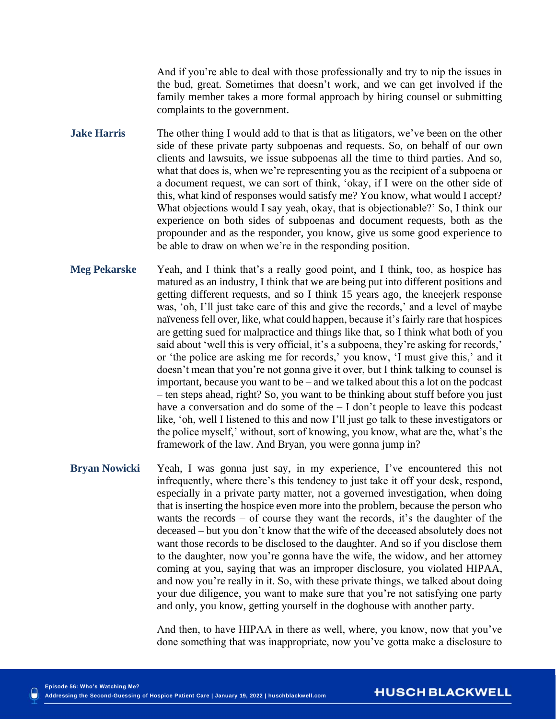And if you're able to deal with those professionally and try to nip the issues in the bud, great. Sometimes that doesn't work, and we can get involved if the family member takes a more formal approach by hiring counsel or submitting complaints to the government.

- **Jake Harris** The other thing I would add to that is that as litigators, we've been on the other side of these private party subpoenas and requests. So, on behalf of our own clients and lawsuits, we issue subpoenas all the time to third parties. And so, what that does is, when we're representing you as the recipient of a subpoena or a document request, we can sort of think, 'okay, if I were on the other side of this, what kind of responses would satisfy me? You know, what would I accept? What objections would I say yeah, okay, that is objectionable?' So, I think our experience on both sides of subpoenas and document requests, both as the propounder and as the responder, you know, give us some good experience to be able to draw on when we're in the responding position.
- **Meg Pekarske** Yeah, and I think that's a really good point, and I think, too, as hospice has matured as an industry, I think that we are being put into different positions and getting different requests, and so I think 15 years ago, the kneejerk response was, 'oh, I'll just take care of this and give the records,' and a level of maybe naïveness fell over, like, what could happen, because it's fairly rare that hospices are getting sued for malpractice and things like that, so I think what both of you said about 'well this is very official, it's a subpoena, they're asking for records,' or 'the police are asking me for records,' you know, 'I must give this,' and it doesn't mean that you're not gonna give it over, but I think talking to counsel is important, because you want to be – and we talked about this a lot on the podcast – ten steps ahead, right? So, you want to be thinking about stuff before you just have a conversation and do some of the  $- I$  don't people to leave this podcast like, 'oh, well I listened to this and now I'll just go talk to these investigators or the police myself,' without, sort of knowing, you know, what are the, what's the framework of the law. And Bryan, you were gonna jump in?
- **Bryan Nowicki** Yeah, I was gonna just say, in my experience, I've encountered this not infrequently, where there's this tendency to just take it off your desk, respond, especially in a private party matter, not a governed investigation, when doing that is inserting the hospice even more into the problem, because the person who wants the records – of course they want the records, it's the daughter of the deceased – but you don't know that the wife of the deceased absolutely does not want those records to be disclosed to the daughter. And so if you disclose them to the daughter, now you're gonna have the wife, the widow, and her attorney coming at you, saying that was an improper disclosure, you violated HIPAA, and now you're really in it. So, with these private things, we talked about doing your due diligence, you want to make sure that you're not satisfying one party and only, you know, getting yourself in the doghouse with another party.

And then, to have HIPAA in there as well, where, you know, now that you've done something that was inappropriate, now you've gotta make a disclosure to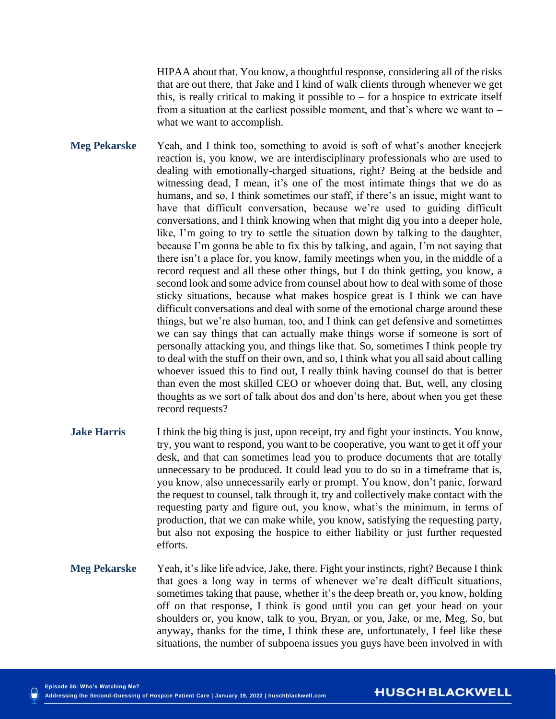HIPAA about that. You know, a thoughtful response, considering all of the risks that are out there, that Jake and I kind of walk clients through whenever we get this, is really critical to making it possible to  $-$  for a hospice to extricate itself from a situation at the earliest possible moment, and that's where we want to – what we want to accomplish.

**Meg Pekarske** Yeah, and I think too, something to avoid is soft of what's another kneejerk reaction is, you know, we are interdisciplinary professionals who are used to dealing with emotionally-charged situations, right? Being at the bedside and witnessing dead, I mean, it's one of the most intimate things that we do as humans, and so, I think sometimes our staff, if there's an issue, might want to have that difficult conversation, because we're used to guiding difficult conversations, and I think knowing when that might dig you into a deeper hole, like, I'm going to try to settle the situation down by talking to the daughter, because I'm gonna be able to fix this by talking, and again, I'm not saying that there isn't a place for, you know, family meetings when you, in the middle of a record request and all these other things, but I do think getting, you know, a second look and some advice from counsel about how to deal with some of those sticky situations, because what makes hospice great is I think we can have difficult conversations and deal with some of the emotional charge around these things, but we're also human, too, and I think can get defensive and sometimes we can say things that can actually make things worse if someone is sort of personally attacking you, and things like that. So, sometimes I think people try to deal with the stuff on their own, and so, I think what you all said about calling whoever issued this to find out, I really think having counsel do that is better than even the most skilled CEO or whoever doing that. But, well, any closing thoughts as we sort of talk about dos and don'ts here, about when you get these record requests?

- **Jake Harris** I think the big thing is just, upon receipt, try and fight your instincts. You know, try, you want to respond, you want to be cooperative, you want to get it off your desk, and that can sometimes lead you to produce documents that are totally unnecessary to be produced. It could lead you to do so in a timeframe that is, you know, also unnecessarily early or prompt. You know, don't panic, forward the request to counsel, talk through it, try and collectively make contact with the requesting party and figure out, you know, what's the minimum, in terms of production, that we can make while, you know, satisfying the requesting party, but also not exposing the hospice to either liability or just further requested efforts.
- **Meg Pekarske** Yeah, it's like life advice, Jake, there. Fight your instincts, right? Because I think that goes a long way in terms of whenever we're dealt difficult situations, sometimes taking that pause, whether it's the deep breath or, you know, holding off on that response, I think is good until you can get your head on your shoulders or, you know, talk to you, Bryan, or you, Jake, or me, Meg. So, but anyway, thanks for the time, I think these are, unfortunately, I feel like these situations, the number of subpoena issues you guys have been involved in with